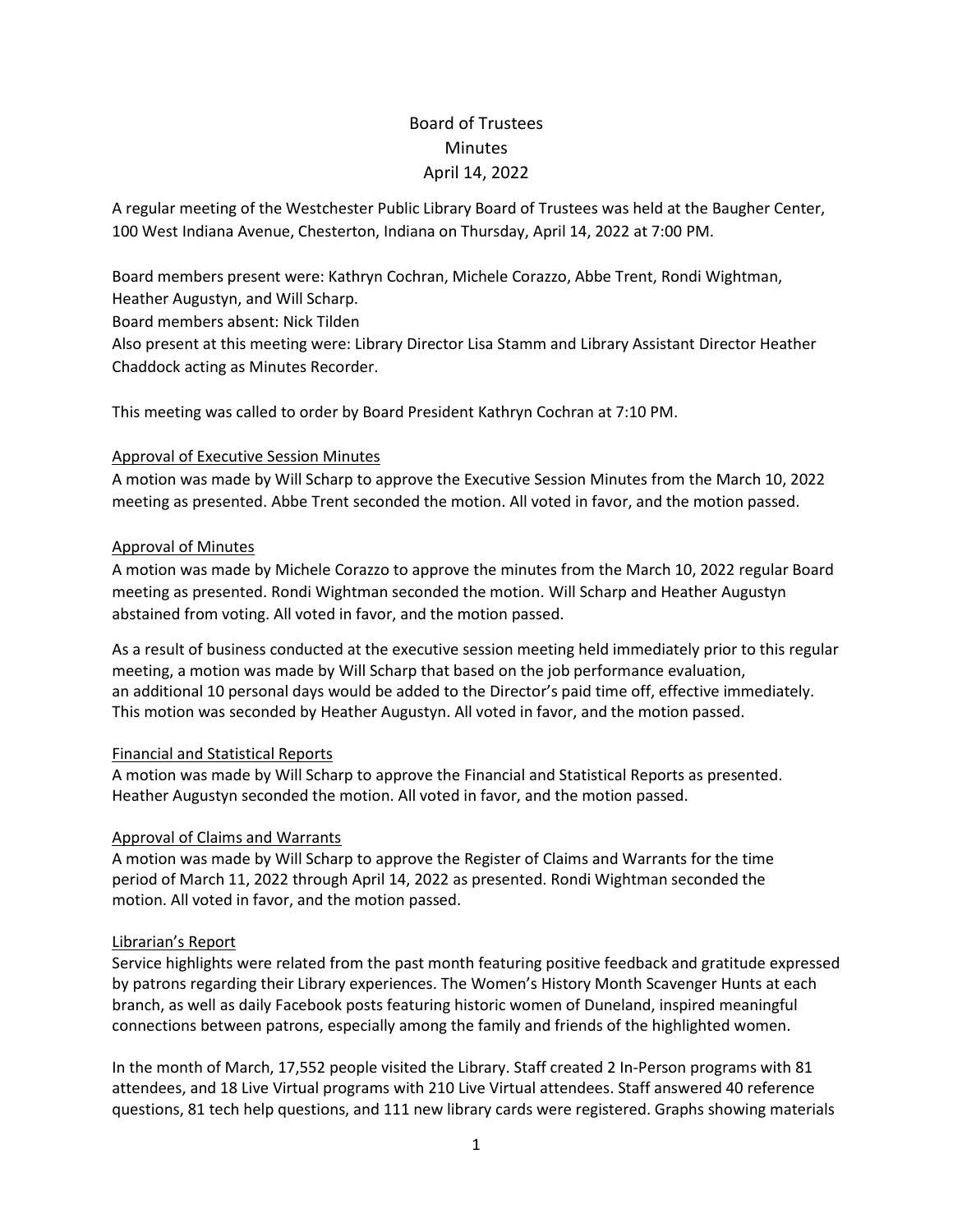# Board of Trustees **Minutes** April 14, 2022

A regular meeting of the Westchester Public Library Board of Trustees was held at the Baugher Center, 100 West Indiana Avenue, Chesterton, Indiana on Thursday, April 14, 2022 at 7:00 PM.

Board members present were: Kathryn Cochran, Michele Corazzo, Abbe Trent, Rondi Wightman,

Heather Augustyn, and Will Scharp.

Board members absent: Nick Tilden

Also present at this meeting were: Library Director Lisa Stamm and Library Assistant Director Heather Chaddock acting as Minutes Recorder.

This meeting was called to order by Board President Kathryn Cochran at 7:10 PM.

# Approval of Executive Session Minutes

A motion was made by Will Scharp to approve the Executive Session Minutes from the March 10, 2022 meeting as presented. Abbe Trent seconded the motion. All voted in favor, and the motion passed.

## Approval of Minutes

A motion was made by Michele Corazzo to approve the minutes from the March 10, 2022 regular Board meeting as presented. Rondi Wightman seconded the motion. Will Scharp and Heather Augustyn abstained from voting. All voted in favor, and the motion passed.

As a result of business conducted at the executive session meeting held immediately prior to this regular meeting, a motion was made by Will Scharp that based on the job performance evaluation, an additional 10 personal days would be added to the Director's paid time off, effective immediately. This motion was seconded by Heather Augustyn. All voted in favor, and the motion passed.

# Financial and Statistical Reports

A motion was made by Will Scharp to approve the Financial and Statistical Reports as presented. Heather Augustyn seconded the motion. All voted in favor, and the motion passed.

# Approval of Claims and Warrants

A motion was made by Will Scharp to approve the Register of Claims and Warrants for the time period of March 11, 2022 through April 14, 2022 as presented. Rondi Wightman seconded the motion. All voted in favor, and the motion passed.

# Librarian's Report

Service highlights were related from the past month featuring positive feedback and gratitude expressed by patrons regarding their Library experiences. The Women's History Month Scavenger Hunts at each branch, as well as daily Facebook posts featuring historic women of Duneland, inspired meaningful connections between patrons, especially among the family and friends of the highlighted women.

In the month of March, 17,552 people visited the Library. Staff created 2 In-Person programs with 81 attendees, and 18 Live Virtual programs with 210 Live Virtual attendees. Staff answered 40 reference questions, 81 tech help questions, and 111 new library cards were registered. Graphs showing materials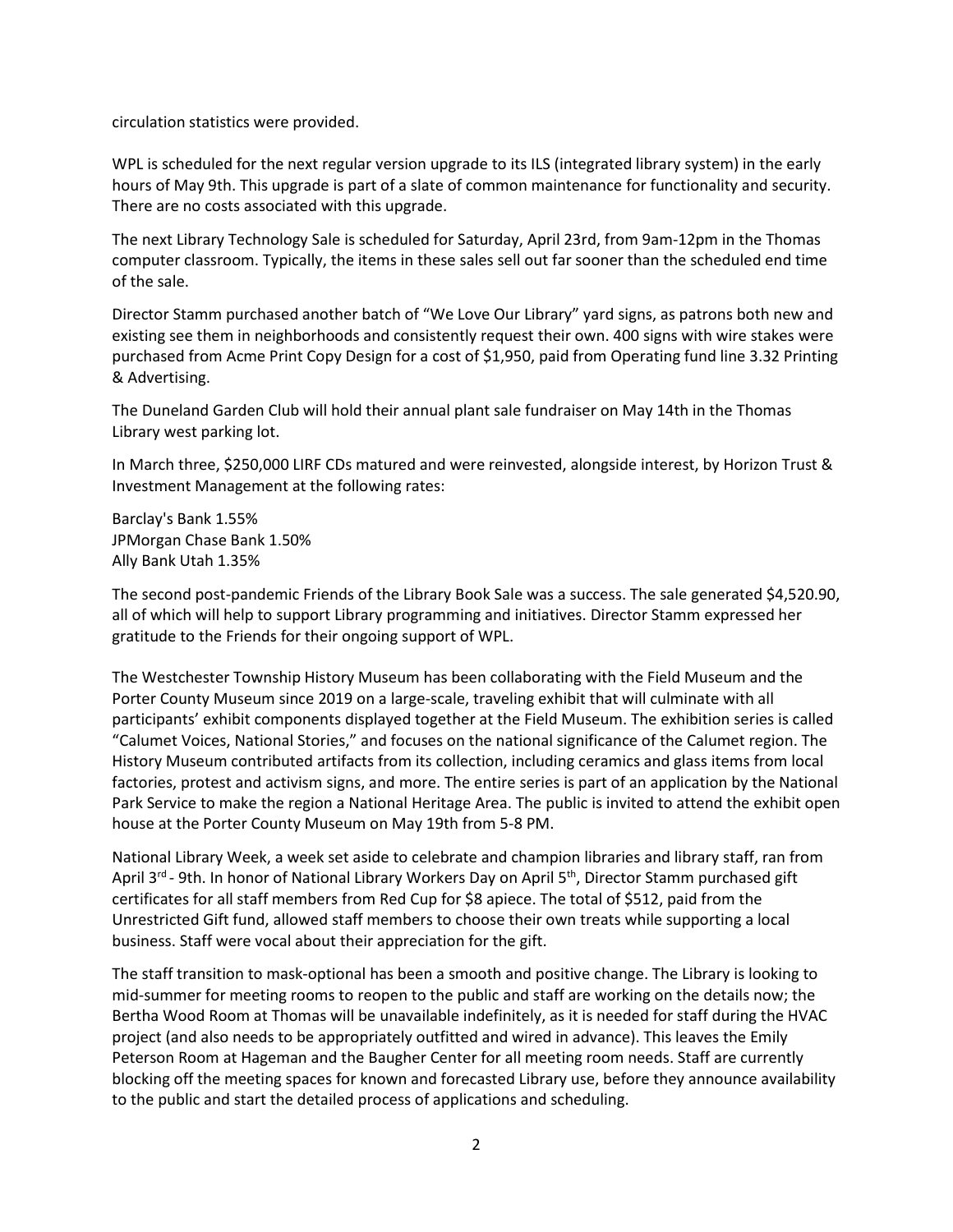circulation statistics were provided.

WPL is scheduled for the next regular version upgrade to its ILS (integrated library system) in the early hours of May 9th. This upgrade is part of a slate of common maintenance for functionality and security. There are no costs associated with this upgrade.

The next Library Technology Sale is scheduled for Saturday, April 23rd, from 9am-12pm in the Thomas computer classroom. Typically, the items in these sales sell out far sooner than the scheduled end time of the sale.

Director Stamm purchased another batch of "We Love Our Library" yard signs, as patrons both new and existing see them in neighborhoods and consistently request their own. 400 signs with wire stakes were purchased from Acme Print Copy Design for a cost of \$1,950, paid from Operating fund line 3.32 Printing & Advertising.

The Duneland Garden Club will hold their annual plant sale fundraiser on May 14th in the Thomas Library west parking lot.

In March three, \$250,000 LIRF CDs matured and were reinvested, alongside interest, by Horizon Trust & Investment Management at the following rates:

Barclay's Bank 1.55% JPMorgan Chase Bank 1.50% Ally Bank Utah 1.35%

The second post-pandemic Friends of the Library Book Sale was a success. The sale generated \$4,520.90, all of which will help to support Library programming and initiatives. Director Stamm expressed her gratitude to the Friends for their ongoing support of WPL.

The Westchester Township History Museum has been collaborating with the Field Museum and the Porter County Museum since 2019 on a large-scale, traveling exhibit that will culminate with all participants' exhibit components displayed together at the Field Museum. The exhibition series is called "Calumet Voices, National Stories," and focuses on the national significance of the Calumet region. The History Museum contributed artifacts from its collection, including ceramics and glass items from local factories, protest and activism signs, and more. The entire series is part of an application by the National Park Service to make the region a National Heritage Area. The public is invited to attend the exhibit open house at the Porter County Museum on May 19th from 5-8 PM.

National Library Week, a week set aside to celebrate and champion libraries and library staff, ran from April 3<sup>rd</sup> - 9th. In honor of National Library Workers Day on April 5<sup>th</sup>, Director Stamm purchased gift certificates for all staff members from Red Cup for \$8 apiece. The total of \$512, paid from the Unrestricted Gift fund, allowed staff members to choose their own treats while supporting a local business. Staff were vocal about their appreciation for the gift.

The staff transition to mask-optional has been a smooth and positive change. The Library is looking to mid-summer for meeting rooms to reopen to the public and staff are working on the details now; the Bertha Wood Room at Thomas will be unavailable indefinitely, as it is needed for staff during the HVAC project (and also needs to be appropriately outfitted and wired in advance). This leaves the Emily Peterson Room at Hageman and the Baugher Center for all meeting room needs. Staff are currently blocking off the meeting spaces for known and forecasted Library use, before they announce availability to the public and start the detailed process of applications and scheduling.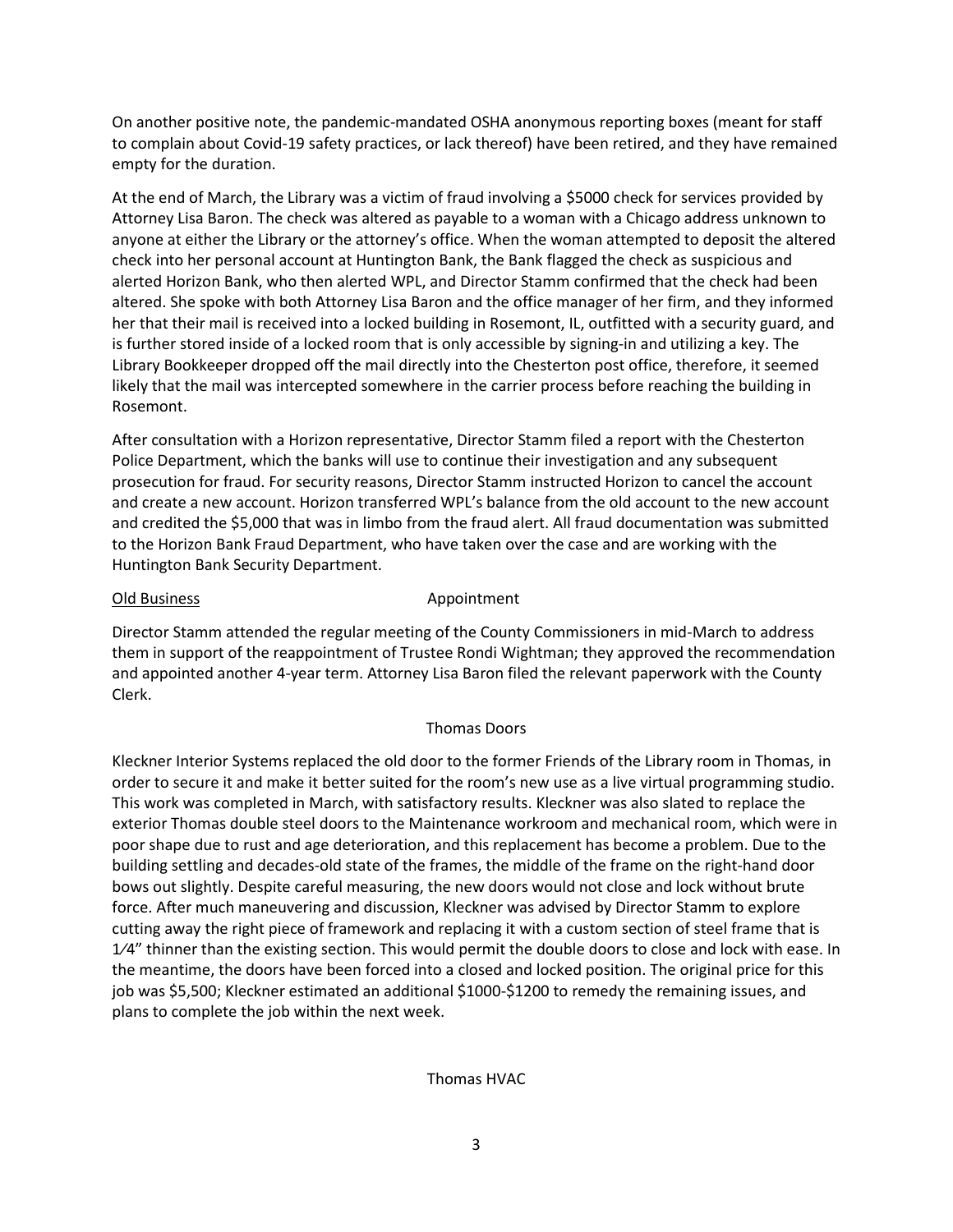On another positive note, the pandemic-mandated OSHA anonymous reporting boxes (meant for staff to complain about Covid-19 safety practices, or lack thereof) have been retired, and they have remained empty for the duration.

At the end of March, the Library was a victim of fraud involving a \$5000 check for services provided by Attorney Lisa Baron. The check was altered as payable to a woman with a Chicago address unknown to anyone at either the Library or the attorney's office. When the woman attempted to deposit the altered check into her personal account at Huntington Bank, the Bank flagged the check as suspicious and alerted Horizon Bank, who then alerted WPL, and Director Stamm confirmed that the check had been altered. She spoke with both Attorney Lisa Baron and the office manager of her firm, and they informed her that their mail is received into a locked building in Rosemont, IL, outfitted with a security guard, and is further stored inside of a locked room that is only accessible by signing-in and utilizing a key. The Library Bookkeeper dropped off the mail directly into the Chesterton post office, therefore, it seemed likely that the mail was intercepted somewhere in the carrier process before reaching the building in Rosemont.

After consultation with a Horizon representative, Director Stamm filed a report with the Chesterton Police Department, which the banks will use to continue their investigation and any subsequent prosecution for fraud. For security reasons, Director Stamm instructed Horizon to cancel the account and create a new account. Horizon transferred WPL's balance from the old account to the new account and credited the \$5,000 that was in limbo from the fraud alert. All fraud documentation was submitted to the Horizon Bank Fraud Department, who have taken over the case and are working with the Huntington Bank Security Department.

### Old Business **Appointment**

Director Stamm attended the regular meeting of the County Commissioners in mid-March to address them in support of the reappointment of Trustee Rondi Wightman; they approved the recommendation and appointed another 4-year term. Attorney Lisa Baron filed the relevant paperwork with the County Clerk.

### Thomas Doors

Kleckner Interior Systems replaced the old door to the former Friends of the Library room in Thomas, in order to secure it and make it better suited for the room's new use as a live virtual programming studio. This work was completed in March, with satisfactory results. Kleckner was also slated to replace the exterior Thomas double steel doors to the Maintenance workroom and mechanical room, which were in poor shape due to rust and age deterioration, and this replacement has become a problem. Due to the building settling and decades-old state of the frames, the middle of the frame on the right-hand door bows out slightly. Despite careful measuring, the new doors would not close and lock without brute force. After much maneuvering and discussion, Kleckner was advised by Director Stamm to explore cutting away the right piece of framework and replacing it with a custom section of steel frame that is  $1/4$ " thinner than the existing section. This would permit the double doors to close and lock with ease. In the meantime, the doors have been forced into a closed and locked position. The original price for this job was \$5,500; Kleckner estimated an additional \$1000-\$1200 to remedy the remaining issues, and plans to complete the job within the next week.

### Thomas HVAC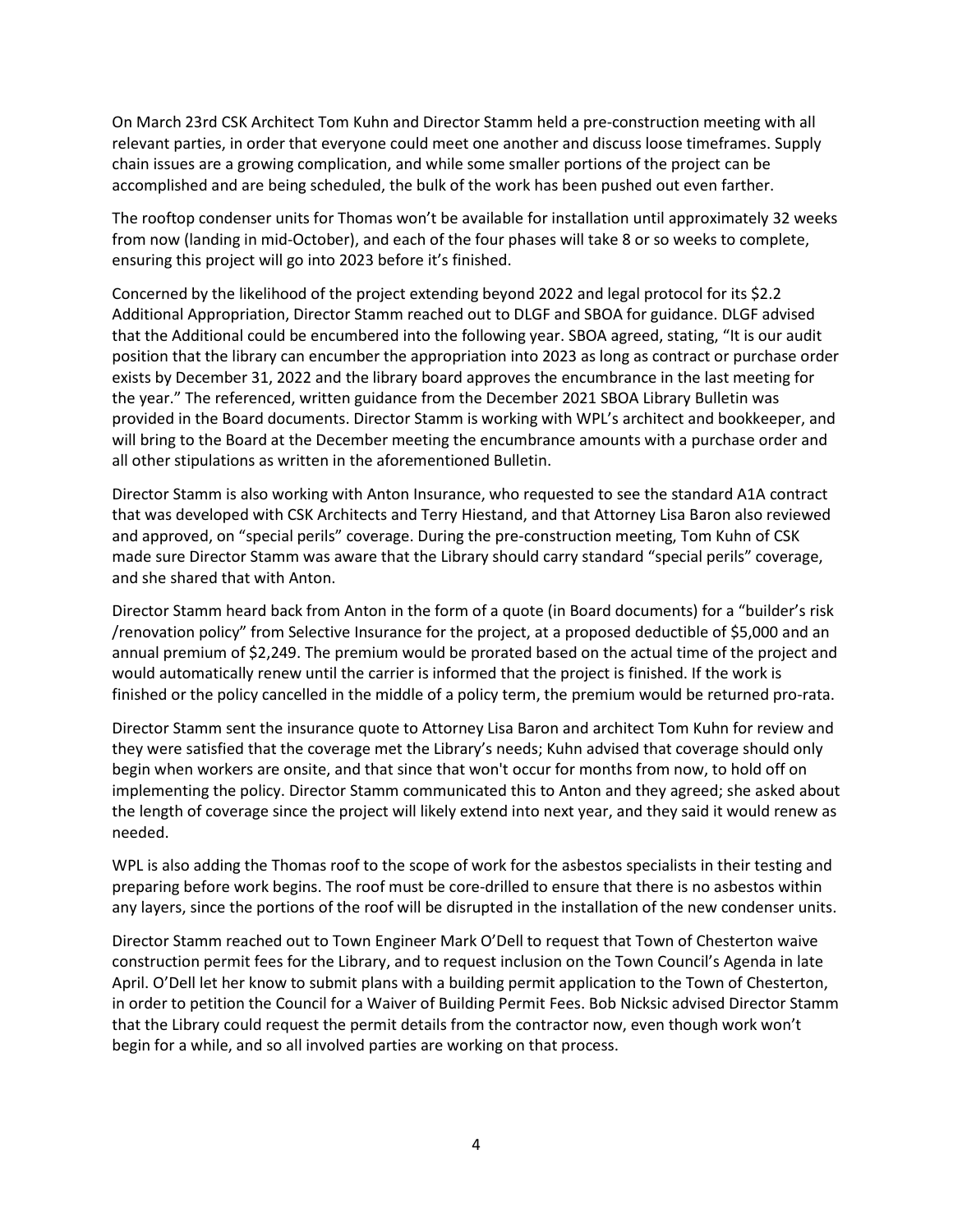On March 23rd CSK Architect Tom Kuhn and Director Stamm held a pre-construction meeting with all relevant parties, in order that everyone could meet one another and discuss loose timeframes. Supply chain issues are a growing complication, and while some smaller portions of the project can be accomplished and are being scheduled, the bulk of the work has been pushed out even farther.

The rooftop condenser units for Thomas won't be available for installation until approximately 32 weeks from now (landing in mid-October), and each of the four phases will take 8 or so weeks to complete, ensuring this project will go into 2023 before it's finished.

Concerned by the likelihood of the project extending beyond 2022 and legal protocol for its \$2.2 Additional Appropriation, Director Stamm reached out to DLGF and SBOA for guidance. DLGF advised that the Additional could be encumbered into the following year. SBOA agreed, stating, "It is our audit position that the library can encumber the appropriation into 2023 as long as contract or purchase order exists by December 31, 2022 and the library board approves the encumbrance in the last meeting for the year." The referenced, written guidance from the December 2021 SBOA Library Bulletin was provided in the Board documents. Director Stamm is working with WPL's architect and bookkeeper, and will bring to the Board at the December meeting the encumbrance amounts with a purchase order and all other stipulations as written in the aforementioned Bulletin.

Director Stamm is also working with Anton Insurance, who requested to see the standard A1A contract that was developed with CSK Architects and Terry Hiestand, and that Attorney Lisa Baron also reviewed and approved, on "special perils" coverage. During the pre-construction meeting, Tom Kuhn of CSK made sure Director Stamm was aware that the Library should carry standard "special perils" coverage, and she shared that with Anton.

Director Stamm heard back from Anton in the form of a quote (in Board documents) for a "builder's risk /renovation policy" from Selective Insurance for the project, at a proposed deductible of \$5,000 and an annual premium of \$2,249. The premium would be prorated based on the actual time of the project and would automatically renew until the carrier is informed that the project is finished. If the work is finished or the policy cancelled in the middle of a policy term, the premium would be returned pro-rata.

Director Stamm sent the insurance quote to Attorney Lisa Baron and architect Tom Kuhn for review and they were satisfied that the coverage met the Library's needs; Kuhn advised that coverage should only begin when workers are onsite, and that since that won't occur for months from now, to hold off on implementing the policy. Director Stamm communicated this to Anton and they agreed; she asked about the length of coverage since the project will likely extend into next year, and they said it would renew as needed.

WPL is also adding the Thomas roof to the scope of work for the asbestos specialists in their testing and preparing before work begins. The roof must be core-drilled to ensure that there is no asbestos within any layers, since the portions of the roof will be disrupted in the installation of the new condenser units.

Director Stamm reached out to Town Engineer Mark O'Dell to request that Town of Chesterton waive construction permit fees for the Library, and to request inclusion on the Town Council's Agenda in late April. O'Dell let her know to submit plans with a building permit application to the Town of Chesterton, in order to petition the Council for a Waiver of Building Permit Fees. Bob Nicksic advised Director Stamm that the Library could request the permit details from the contractor now, even though work won't begin for a while, and so all involved parties are working on that process.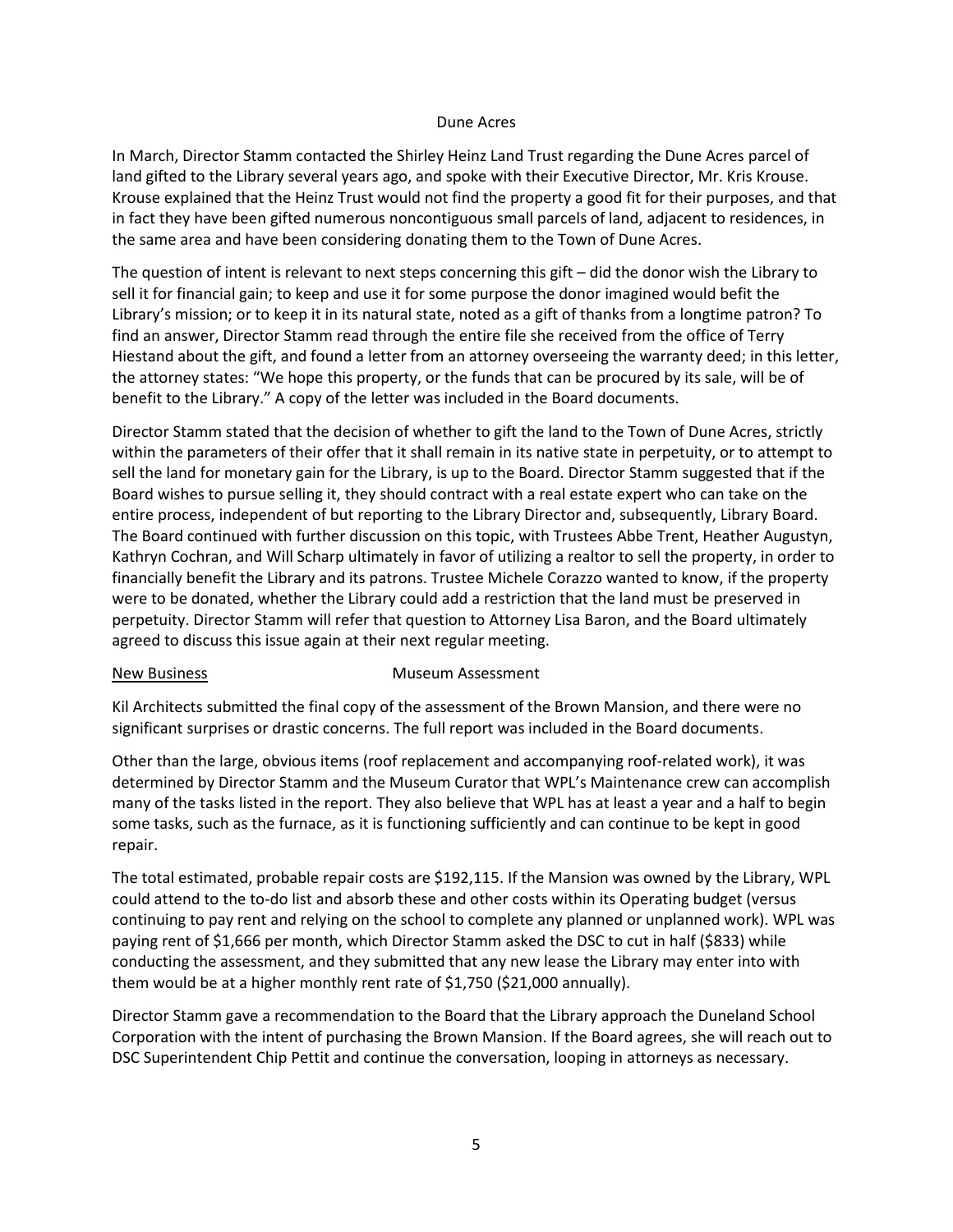#### Dune Acres

In March, Director Stamm contacted the Shirley Heinz Land Trust regarding the Dune Acres parcel of land gifted to the Library several years ago, and spoke with their Executive Director, Mr. Kris Krouse. Krouse explained that the Heinz Trust would not find the property a good fit for their purposes, and that in fact they have been gifted numerous noncontiguous small parcels of land, adjacent to residences, in the same area and have been considering donating them to the Town of Dune Acres.

The question of intent is relevant to next steps concerning this gift – did the donor wish the Library to sell it for financial gain; to keep and use it for some purpose the donor imagined would befit the Library's mission; or to keep it in its natural state, noted as a gift of thanks from a longtime patron? To find an answer, Director Stamm read through the entire file she received from the office of Terry Hiestand about the gift, and found a letter from an attorney overseeing the warranty deed; in this letter, the attorney states: "We hope this property, or the funds that can be procured by its sale, will be of benefit to the Library." A copy of the letter was included in the Board documents.

Director Stamm stated that the decision of whether to gift the land to the Town of Dune Acres, strictly within the parameters of their offer that it shall remain in its native state in perpetuity, or to attempt to sell the land for monetary gain for the Library, is up to the Board. Director Stamm suggested that if the Board wishes to pursue selling it, they should contract with a real estate expert who can take on the entire process, independent of but reporting to the Library Director and, subsequently, Library Board. The Board continued with further discussion on this topic, with Trustees Abbe Trent, Heather Augustyn, Kathryn Cochran, and Will Scharp ultimately in favor of utilizing a realtor to sell the property, in order to financially benefit the Library and its patrons. Trustee Michele Corazzo wanted to know, if the property were to be donated, whether the Library could add a restriction that the land must be preserved in perpetuity. Director Stamm will refer that question to Attorney Lisa Baron, and the Board ultimately agreed to discuss this issue again at their next regular meeting.

#### New Business **Museum Assessment**

Kil Architects submitted the final copy of the assessment of the Brown Mansion, and there were no significant surprises or drastic concerns. The full report was included in the Board documents.

Other than the large, obvious items (roof replacement and accompanying roof-related work), it was determined by Director Stamm and the Museum Curator that WPL's Maintenance crew can accomplish many of the tasks listed in the report. They also believe that WPL has at least a year and a half to begin some tasks, such as the furnace, as it is functioning sufficiently and can continue to be kept in good repair.

The total estimated, probable repair costs are \$192,115. If the Mansion was owned by the Library, WPL could attend to the to-do list and absorb these and other costs within its Operating budget (versus continuing to pay rent and relying on the school to complete any planned or unplanned work). WPL was paying rent of \$1,666 per month, which Director Stamm asked the DSC to cut in half (\$833) while conducting the assessment, and they submitted that any new lease the Library may enter into with them would be at a higher monthly rent rate of \$1,750 (\$21,000 annually).

Director Stamm gave a recommendation to the Board that the Library approach the Duneland School Corporation with the intent of purchasing the Brown Mansion. If the Board agrees, she will reach out to DSC Superintendent Chip Pettit and continue the conversation, looping in attorneys as necessary.